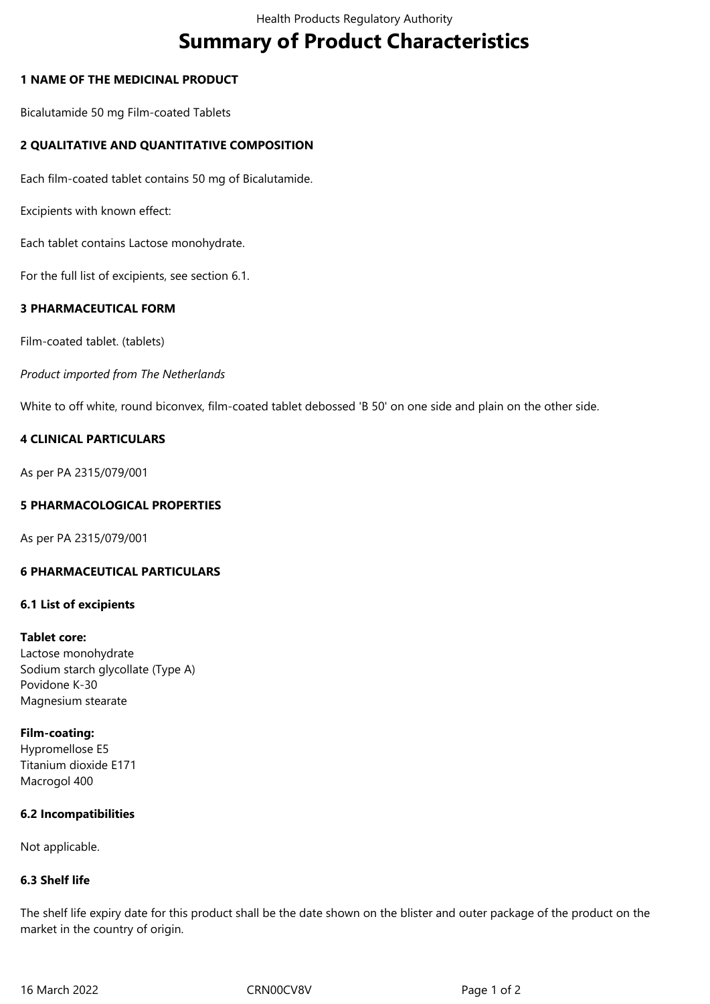# **Summary of Product Characteristics**

## **1 NAME OF THE MEDICINAL PRODUCT**

Bicalutamide 50 mg Film-coated Tablets

## **2 QUALITATIVE AND QUANTITATIVE COMPOSITION**

Each film-coated tablet contains 50 mg of Bicalutamide.

Excipients with known effect:

Each tablet contains Lactose monohydrate.

For the full list of excipients, see section 6.1.

# **3 PHARMACEUTICAL FORM**

Film-coated tablet. (tablets)

*Product imported from The Netherlands*

White to off white, round biconvex, film-coated tablet debossed 'B 50' on one side and plain on the other side.

## **4 CLINICAL PARTICULARS**

As per PA 2315/079/001

# **5 PHARMACOLOGICAL PROPERTIES**

As per PA 2315/079/001

#### **6 PHARMACEUTICAL PARTICULARS**

#### **6.1 List of excipients**

#### **Tablet core:**

Lactose monohydrate Sodium starch glycollate (Type A) Povidone K-30 Magnesium stearate

#### **Film-coating:**

Hypromellose E5 Titanium dioxide E171 Macrogol 400

#### **6.2 Incompatibilities**

Not applicable.

#### **6.3 Shelf life**

The shelf life expiry date for this product shall be the date shown on the blister and outer package of the product on the market in the country of origin.